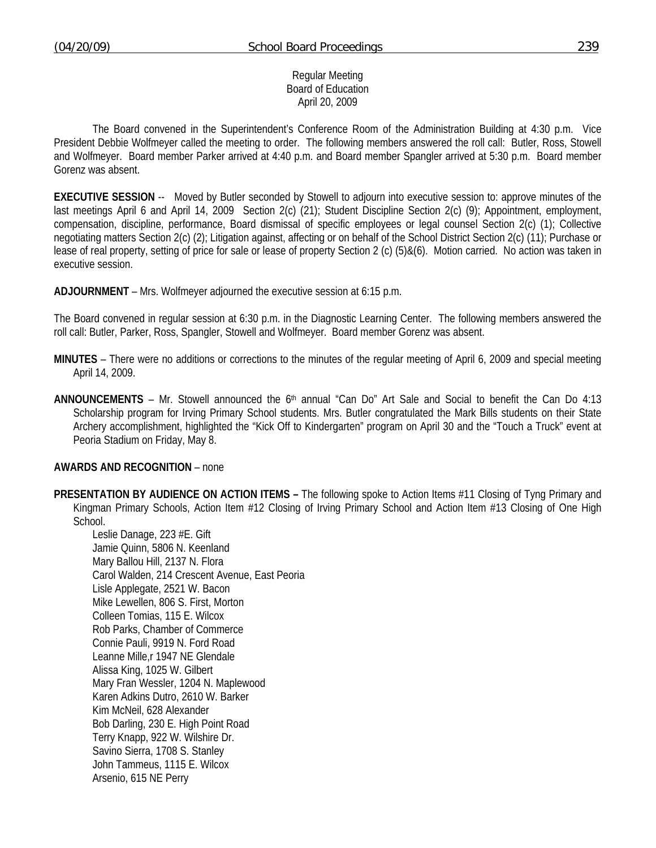#### Regular Meeting Board of Education April 20, 2009

 The Board convened in the Superintendent's Conference Room of the Administration Building at 4:30 p.m. Vice President Debbie Wolfmeyer called the meeting to order. The following members answered the roll call: Butler, Ross, Stowell and Wolfmeyer. Board member Parker arrived at 4:40 p.m. and Board member Spangler arrived at 5:30 p.m. Board member Gorenz was absent.

**EXECUTIVE SESSION** -- Moved by Butler seconded by Stowell to adjourn into executive session to: approve minutes of the last meetings April 6 and April 14, 2009 Section 2(c) (21); Student Discipline Section 2(c) (9); Appointment, employment, compensation, discipline, performance, Board dismissal of specific employees or legal counsel Section 2(c) (1); Collective negotiating matters Section 2(c) (2); Litigation against, affecting or on behalf of the School District Section 2(c) (11); Purchase or lease of real property, setting of price for sale or lease of property Section 2 (c) (5)&(6). Motion carried. No action was taken in executive session.

**ADJOURNMENT** – Mrs. Wolfmeyer adjourned the executive session at 6:15 p.m.

The Board convened in regular session at 6:30 p.m. in the Diagnostic Learning Center. The following members answered the roll call: Butler, Parker, Ross, Spangler, Stowell and Wolfmeyer. Board member Gorenz was absent.

- **MINUTES** There were no additions or corrections to the minutes of the regular meeting of April 6, 2009 and special meeting April 14, 2009.
- **ANNOUNCEMENTS** Mr. Stowell announced the 6th annual "Can Do" Art Sale and Social to benefit the Can Do 4:13 Scholarship program for Irving Primary School students. Mrs. Butler congratulated the Mark Bills students on their State Archery accomplishment, highlighted the "Kick Off to Kindergarten" program on April 30 and the "Touch a Truck" event at Peoria Stadium on Friday, May 8.

## **AWARDS AND RECOGNITION** – none

**PRESENTATION BY AUDIENCE ON ACTION ITEMS –** The following spoke to Action Items #11 Closing of Tyng Primary and Kingman Primary Schools, Action Item #12 Closing of Irving Primary School and Action Item #13 Closing of One High School.

Leslie Danage, 223 #E. Gift Jamie Quinn, 5806 N. Keenland Mary Ballou Hill, 2137 N. Flora Carol Walden, 214 Crescent Avenue, East Peoria Lisle Applegate, 2521 W. Bacon Mike Lewellen, 806 S. First, Morton Colleen Tomias, 115 E. Wilcox Rob Parks, Chamber of Commerce Connie Pauli, 9919 N. Ford Road Leanne Mille,r 1947 NE Glendale Alissa King, 1025 W. Gilbert Mary Fran Wessler, 1204 N. Maplewood Karen Adkins Dutro, 2610 W. Barker Kim McNeil, 628 Alexander Bob Darling, 230 E. High Point Road Terry Knapp, 922 W. Wilshire Dr. Savino Sierra, 1708 S. Stanley John Tammeus, 1115 E. Wilcox Arsenio, 615 NE Perry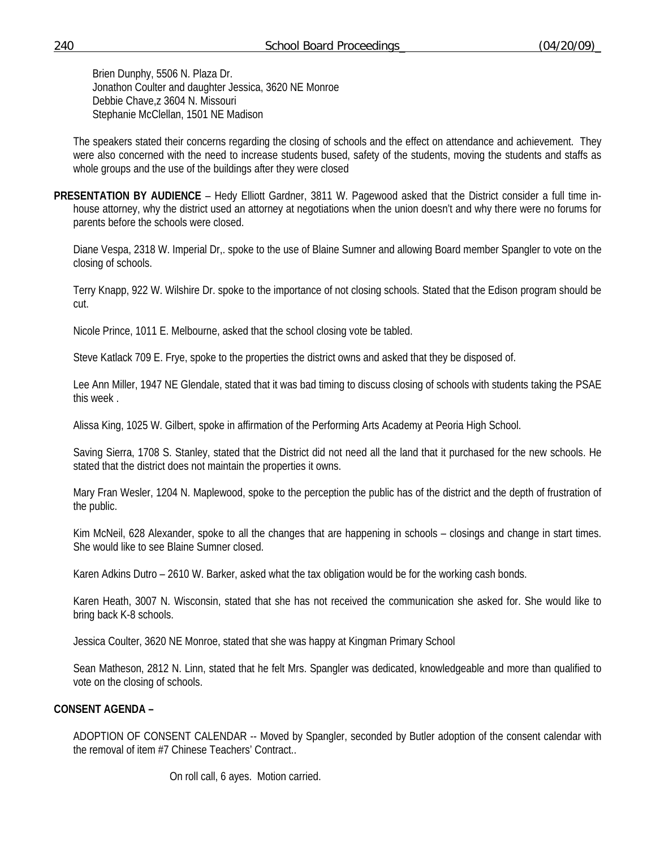Brien Dunphy, 5506 N. Plaza Dr. Jonathon Coulter and daughter Jessica, 3620 NE Monroe Debbie Chave,z 3604 N. Missouri Stephanie McClellan, 1501 NE Madison

The speakers stated their concerns regarding the closing of schools and the effect on attendance and achievement. They were also concerned with the need to increase students bused, safety of the students, moving the students and staffs as whole groups and the use of the buildings after they were closed

**PRESENTATION BY AUDIENCE** – Hedy Elliott Gardner, 3811 W. Pagewood asked that the District consider a full time inhouse attorney, why the district used an attorney at negotiations when the union doesn't and why there were no forums for parents before the schools were closed.

Diane Vespa, 2318 W. Imperial Dr,. spoke to the use of Blaine Sumner and allowing Board member Spangler to vote on the closing of schools.

Terry Knapp, 922 W. Wilshire Dr. spoke to the importance of not closing schools. Stated that the Edison program should be cut.

Nicole Prince, 1011 E. Melbourne, asked that the school closing vote be tabled.

Steve Katlack 709 E. Frye, spoke to the properties the district owns and asked that they be disposed of.

Lee Ann Miller, 1947 NE Glendale, stated that it was bad timing to discuss closing of schools with students taking the PSAE this week .

Alissa King, 1025 W. Gilbert, spoke in affirmation of the Performing Arts Academy at Peoria High School.

Saving Sierra, 1708 S. Stanley, stated that the District did not need all the land that it purchased for the new schools. He stated that the district does not maintain the properties it owns.

Mary Fran Wesler, 1204 N. Maplewood, spoke to the perception the public has of the district and the depth of frustration of the public.

Kim McNeil, 628 Alexander, spoke to all the changes that are happening in schools – closings and change in start times. She would like to see Blaine Sumner closed.

Karen Adkins Dutro – 2610 W. Barker, asked what the tax obligation would be for the working cash bonds.

Karen Heath, 3007 N. Wisconsin, stated that she has not received the communication she asked for. She would like to bring back K-8 schools.

Jessica Coulter, 3620 NE Monroe, stated that she was happy at Kingman Primary School

Sean Matheson, 2812 N. Linn, stated that he felt Mrs. Spangler was dedicated, knowledgeable and more than qualified to vote on the closing of schools.

# **CONSENT AGENDA –**

ADOPTION OF CONSENT CALENDAR -- Moved by Spangler, seconded by Butler adoption of the consent calendar with the removal of item #7 Chinese Teachers' Contract..

On roll call, 6 ayes. Motion carried.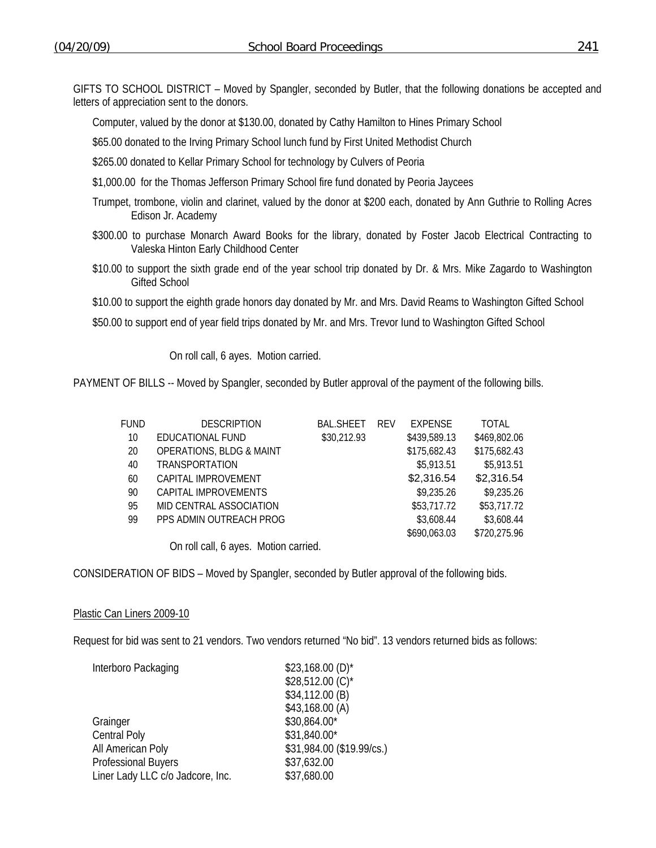GIFTS TO SCHOOL DISTRICT – Moved by Spangler, seconded by Butler, that the following donations be accepted and letters of appreciation sent to the donors.

Computer, valued by the donor at \$130.00, donated by Cathy Hamilton to Hines Primary School

\$65.00 donated to the Irving Primary School lunch fund by First United Methodist Church

\$265.00 donated to Kellar Primary School for technology by Culvers of Peoria

- \$1,000.00 for the Thomas Jefferson Primary School fire fund donated by Peoria Jaycees
- Trumpet, trombone, violin and clarinet, valued by the donor at \$200 each, donated by Ann Guthrie to Rolling Acres Edison Jr. Academy
- \$300.00 to purchase Monarch Award Books for the library, donated by Foster Jacob Electrical Contracting to Valeska Hinton Early Childhood Center
- \$10.00 to support the sixth grade end of the year school trip donated by Dr. & Mrs. Mike Zagardo to Washington Gifted School

\$10.00 to support the eighth grade honors day donated by Mr. and Mrs. David Reams to Washington Gifted School

\$50.00 to support end of year field trips donated by Mr. and Mrs. Trevor Iund to Washington Gifted School

On roll call, 6 ayes. Motion carried.

PAYMENT OF BILLS -- Moved by Spangler, seconded by Butler approval of the payment of the following bills.

| FUND | <b>DESCRIPTION</b>                                                                                                                                                                                                                                                                                                                          | <b>BAL.SHEET</b> | <b>REV</b> | <b>EXPENSE</b> | TOTAL        |
|------|---------------------------------------------------------------------------------------------------------------------------------------------------------------------------------------------------------------------------------------------------------------------------------------------------------------------------------------------|------------------|------------|----------------|--------------|
| 10   | EDUCATIONAL FUND                                                                                                                                                                                                                                                                                                                            | \$30,212.93      |            | \$439,589.13   | \$469,802.06 |
| 20   | <b>OPERATIONS, BLDG &amp; MAINT</b>                                                                                                                                                                                                                                                                                                         |                  |            | \$175,682.43   | \$175,682.43 |
| 40   | <b>TRANSPORTATION</b>                                                                                                                                                                                                                                                                                                                       |                  |            | \$5,913.51     | \$5,913.51   |
| 60   | CAPITAL IMPROVEMENT                                                                                                                                                                                                                                                                                                                         |                  |            | \$2,316.54     | \$2,316.54   |
| 90   | CAPITAL IMPROVEMENTS                                                                                                                                                                                                                                                                                                                        |                  |            | \$9,235.26     | \$9,235.26   |
| 95   | MID CENTRAL ASSOCIATION                                                                                                                                                                                                                                                                                                                     |                  |            | \$53,717.72    | \$53,717.72  |
| 99   | PPS ADMIN OUTREACH PROG                                                                                                                                                                                                                                                                                                                     |                  |            | \$3,608.44     | \$3,608.44   |
|      |                                                                                                                                                                                                                                                                                                                                             |                  |            | \$690,063.03   | \$720,275.96 |
|      | $\circ$ $\qquad$ $\qquad$ $\qquad$ $\qquad$ $\qquad$ $\qquad$ $\qquad$ $\qquad$ $\qquad$ $\qquad$ $\qquad$ $\qquad$ $\qquad$ $\qquad$ $\qquad$ $\qquad$ $\qquad$ $\qquad$ $\qquad$ $\qquad$ $\qquad$ $\qquad$ $\qquad$ $\qquad$ $\qquad$ $\qquad$ $\qquad$ $\qquad$ $\qquad$ $\qquad$ $\qquad$ $\qquad$ $\qquad$ $\qquad$ $\qquad$ $\qquad$ |                  |            |                |              |

On roll call, 6 ayes. Motion carried.

CONSIDERATION OF BIDS – Moved by Spangler, seconded by Butler approval of the following bids.

#### Plastic Can Liners 2009-10

Request for bid was sent to 21 vendors. Two vendors returned "No bid". 13 vendors returned bids as follows:

| $$23,168.00(D)$ *         |
|---------------------------|
| \$28,512.00 (C)*          |
| \$34,112.00 (B)           |
| \$43,168.00 (A)           |
| \$30,864.00*              |
| \$31,840.00*              |
| \$31,984.00 (\$19.99/cs.) |
| \$37,632.00               |
| \$37,680.00               |
|                           |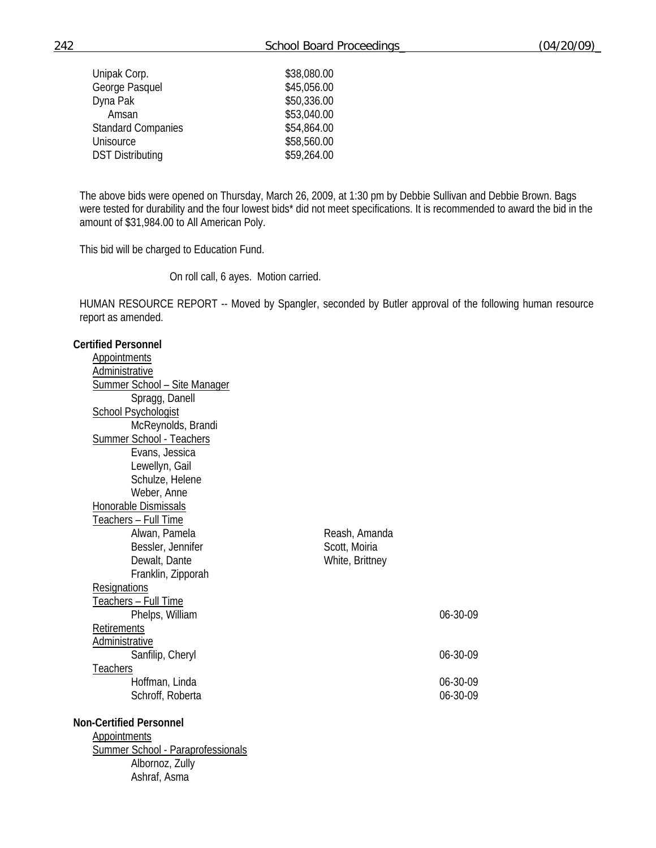| Unipak Corp.              | \$38,080.00 |
|---------------------------|-------------|
| George Pasquel            | \$45,056.00 |
| Dyna Pak                  | \$50,336.00 |
| Amsan                     | \$53,040.00 |
| <b>Standard Companies</b> | \$54,864.00 |
| Unisource                 | \$58,560.00 |
| <b>DST Distributing</b>   | \$59,264.00 |

The above bids were opened on Thursday, March 26, 2009, at 1:30 pm by Debbie Sullivan and Debbie Brown. Bags were tested for durability and the four lowest bids\* did not meet specifications. It is recommended to award the bid in the amount of \$31,984.00 to All American Poly.

This bid will be charged to Education Fund.

On roll call, 6 ayes. Motion carried.

HUMAN RESOURCE REPORT -- Moved by Spangler, seconded by Butler approval of the following human resource report as amended.

# **Certified Personnel**  Appointments **Administrative**  Summer School – Site Manager Spragg, Danell School Psychologist McReynolds, Brandi Summer School - Teachers Evans, Jessica Lewellyn, Gail Schulze, Helene Weber, Anne Honorable Dismissals Teachers – Full Time<br>Alwan, Pamela Reash, Amanda Bessler, Jennifer Scott, Moiria Dewalt, Dante White, Brittney Franklin, Zipporah **Resignations**  Teachers – Full Time Phelps, William 06-30-09 **Retirements**  Administrative Sanfilip, Cheryl 06-30-09 **Teachers**  Hoffman, Linda 06-30-09 Schroff, Roberta 06-30-09 **Non-Certified Personnel Appointments** Summer School - Paraprofessionals Albornoz, Zully Ashraf, Asma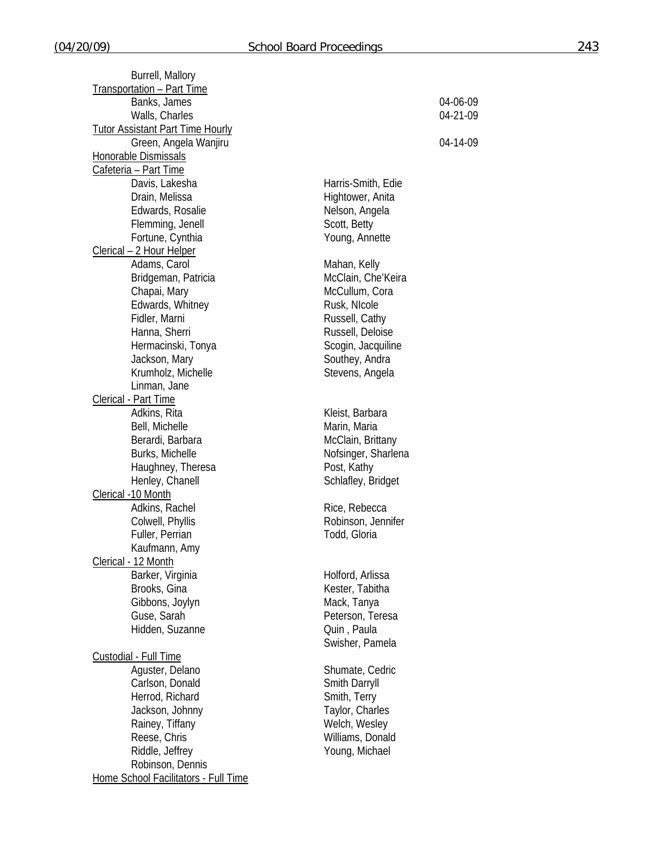| Burrell, Mallory                        |                     |          |
|-----------------------------------------|---------------------|----------|
| Transportation - Part Time              |                     |          |
| Banks, James                            |                     | 04-06-09 |
| Walls, Charles                          |                     | 04-21-09 |
| <b>Tutor Assistant Part Time Hourly</b> |                     |          |
| Green, Angela Wanjiru                   |                     | 04-14-09 |
| Honorable Dismissals                    |                     |          |
| Cafeteria - Part Time                   |                     |          |
| Davis, Lakesha                          | Harris-Smith, Edie  |          |
| Drain, Melissa                          | Hightower, Anita    |          |
| Edwards, Rosalie                        | Nelson, Angela      |          |
|                                         | Scott, Betty        |          |
| Flemming, Jenell                        |                     |          |
| Fortune, Cynthia                        | Young, Annette      |          |
| Clerical - 2 Hour Helper                |                     |          |
| Adams, Carol                            | Mahan, Kelly        |          |
| Bridgeman, Patricia                     | McClain, Che'Keira  |          |
| Chapai, Mary                            | McCullum, Cora      |          |
| Edwards, Whitney                        | Rusk, NIcole        |          |
| Fidler, Marni                           | Russell, Cathy      |          |
| Hanna, Sherri                           | Russell, Deloise    |          |
| Hermacinski, Tonya                      | Scogin, Jacquiline  |          |
| Jackson, Mary                           | Southey, Andra      |          |
| Krumholz, Michelle                      | Stevens, Angela     |          |
| Linman, Jane                            |                     |          |
| Clerical - Part Time                    |                     |          |
| Adkins, Rita                            | Kleist, Barbara     |          |
| Bell, Michelle                          | Marin, Maria        |          |
| Berardi, Barbara                        | McClain, Brittany   |          |
| Burks, Michelle                         | Nofsinger, Sharlena |          |
| Haughney, Theresa                       | Post, Kathy         |          |
| Henley, Chanell                         | Schlafley, Bridget  |          |
| Clerical -10 Month                      |                     |          |
| Adkins, Rachel                          | Rice, Rebecca       |          |
| Colwell, Phyllis                        | Robinson, Jennifer  |          |
| Fuller, Perrian                         | Todd, Gloria        |          |
|                                         |                     |          |
| Kaufmann, Amy                           |                     |          |
| Clerical - 12 Month                     |                     |          |
| Barker, Virginia                        | Holford, Arlissa    |          |
| Brooks, Gina                            | Kester, Tabitha     |          |
| Gibbons, Joylyn                         | Mack, Tanya         |          |
| Guse, Sarah                             | Peterson, Teresa    |          |
| Hidden, Suzanne                         | Quin, Paula         |          |
|                                         | Swisher, Pamela     |          |
| Custodial - Full Time                   |                     |          |
| Aguster, Delano                         | Shumate, Cedric     |          |
| Carlson, Donald                         | Smith Darryll       |          |
| Herrod, Richard                         | Smith, Terry        |          |
| Jackson, Johnny                         | Taylor, Charles     |          |
| Rainey, Tiffany                         | Welch, Wesley       |          |
| Reese, Chris                            | Williams, Donald    |          |
| Riddle, Jeffrey                         | Young, Michael      |          |
| Robinson, Dennis                        |                     |          |
| Home School Facilitators - Full Time    |                     |          |
|                                         |                     |          |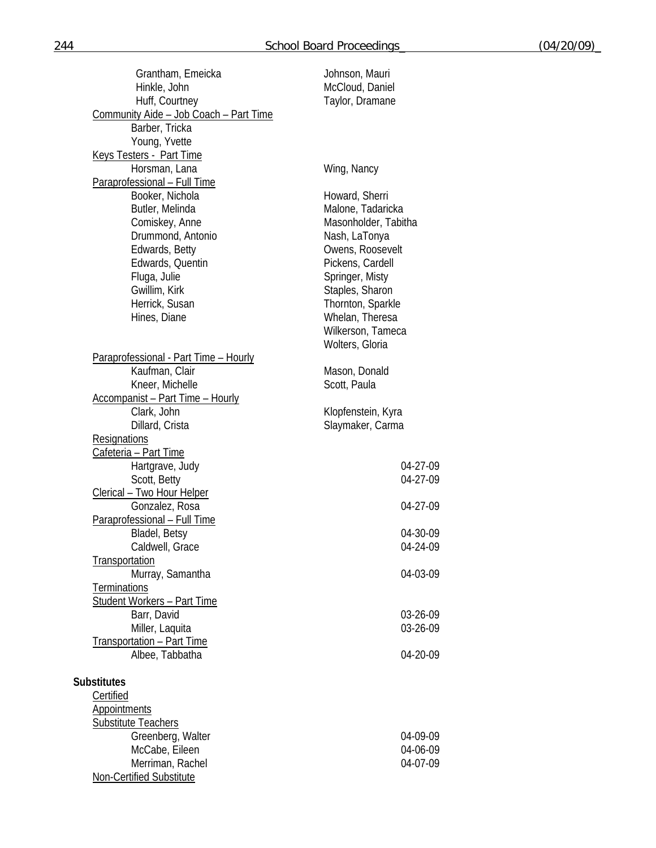| Grantham, Emeicka                       | Johnson, Mauri       |
|-----------------------------------------|----------------------|
| Hinkle, John                            | McCloud, Daniel      |
| Huff, Courtney                          | Taylor, Dramane      |
| Community Aide - Job Coach - Part Time  |                      |
| Barber, Tricka                          |                      |
|                                         |                      |
| Young, Yvette                           |                      |
| Keys Testers - Part Time                |                      |
| Horsman, Lana                           | Wing, Nancy          |
| Paraprofessional - Full Time            |                      |
| Booker, Nichola                         | Howard, Sherri       |
| Butler, Melinda                         | Malone, Tadaricka    |
| Comiskey, Anne                          | Masonholder, Tabitha |
| Drummond, Antonio                       | Nash, LaTonya        |
| Edwards, Betty                          | Owens, Roosevelt     |
|                                         |                      |
| Edwards, Quentin                        | Pickens, Cardell     |
| Fluga, Julie                            | Springer, Misty      |
| Gwillim, Kirk                           | Staples, Sharon      |
| Herrick, Susan                          | Thornton, Sparkle    |
| Hines, Diane                            | Whelan, Theresa      |
|                                         | Wilkerson, Tameca    |
|                                         | Wolters, Gloria      |
| Paraprofessional - Part Time - Hourly   |                      |
| Kaufman, Clair                          | Mason, Donald        |
|                                         |                      |
| Kneer, Michelle                         | Scott, Paula         |
| <b>Accompanist - Part Time - Hourly</b> |                      |
| Clark, John                             | Klopfenstein, Kyra   |
| Dillard, Crista                         | Slaymaker, Carma     |
| <b>Resignations</b>                     |                      |
| Cafeteria - Part Time                   |                      |
| Hartgrave, Judy                         | 04-27-09             |
| Scott, Betty                            | 04-27-09             |
| <u>Clerical - Two Hour Helper</u>       |                      |
| Gonzalez, Rosa                          | 04-27-09             |
|                                         |                      |
| Paraprofessional - Full Time            |                      |
| Bladel, Betsy                           | 04-30-09             |
| Caldwell, Grace                         | 04-24-09             |
| Transportation                          |                      |
| Murray, Samantha                        | 04-03-09             |
| <b>Terminations</b>                     |                      |
| <b>Student Workers - Part Time</b>      |                      |
| Barr, David                             | 03-26-09             |
| Miller, Laquita                         | 03-26-09             |
| Transportation - Part Time              |                      |
|                                         | 04-20-09             |
| Albee, Tabbatha                         |                      |
|                                         |                      |
| <b>Substitutes</b>                      |                      |
| Certified                               |                      |
| <b>Appointments</b>                     |                      |
| <b>Substitute Teachers</b>              |                      |
| Greenberg, Walter                       | 04-09-09             |
| McCabe, Eileen                          | 04-06-09             |
| Merriman, Rachel                        | 04-07-09             |
|                                         |                      |
| Non-Certified Substitute                |                      |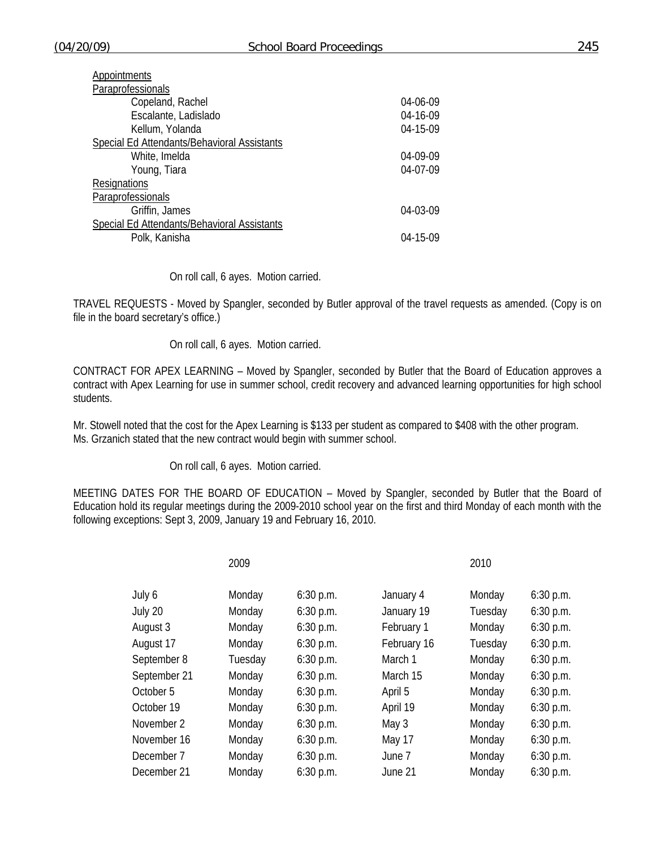| Appointments                                |                |
|---------------------------------------------|----------------|
| Paraprofessionals                           |                |
| Copeland, Rachel                            | 04-06-09       |
| Escalante, Ladislado                        | 04-16-09       |
| Kellum, Yolanda                             | $04 - 15 - 09$ |
| Special Ed Attendants/Behavioral Assistants |                |
| White, Imelda                               | 04-09-09       |
| Young, Tiara                                | 04-07-09       |
| <b>Resignations</b>                         |                |
| Paraprofessionals                           |                |
| Griffin, James                              | 04-03-09       |
| Special Ed Attendants/Behavioral Assistants |                |
| Polk, Kanisha                               | $04 - 15 - 09$ |

## On roll call, 6 ayes. Motion carried.

TRAVEL REQUESTS - Moved by Spangler, seconded by Butler approval of the travel requests as amended. (Copy is on file in the board secretary's office.)

## On roll call, 6 ayes. Motion carried.

CONTRACT FOR APEX LEARNING – Moved by Spangler, seconded by Butler that the Board of Education approves a contract with Apex Learning for use in summer school, credit recovery and advanced learning opportunities for high school students.

Mr. Stowell noted that the cost for the Apex Learning is \$133 per student as compared to \$408 with the other program. Ms. Grzanich stated that the new contract would begin with summer school.

On roll call, 6 ayes. Motion carried.

MEETING DATES FOR THE BOARD OF EDUCATION – Moved by Spangler, seconded by Butler that the Board of Education hold its regular meetings during the 2009-2010 school year on the first and third Monday of each month with the following exceptions: Sept 3, 2009, January 19 and February 16, 2010.

|              | 2009    |             |             | 2010    |             |
|--------------|---------|-------------|-------------|---------|-------------|
| July 6       | Monday  | $6:30$ p.m. | January 4   | Monday  | $6:30$ p.m. |
| July 20      | Monday  | 6:30 p.m.   | January 19  | Tuesday | 6:30 p.m.   |
| August 3     | Monday  | $6:30$ p.m. | February 1  | Monday  | 6:30 p.m.   |
| August 17    | Monday  | $6:30$ p.m. | February 16 | Tuesday | 6:30 p.m.   |
| September 8  | Tuesday | $6:30$ p.m. | March 1     | Monday  | 6:30 p.m.   |
| September 21 | Monday  | $6:30$ p.m. | March 15    | Monday  | $6:30$ p.m. |
| October 5    | Monday  | $6:30$ p.m. | April 5     | Monday  | 6:30 p.m.   |
| October 19   | Monday  | 6:30 p.m.   | April 19    | Monday  | $6:30$ p.m. |
| November 2   | Monday  | $6:30$ p.m. | May 3       | Monday  | 6:30 p.m.   |
| November 16  | Monday  | $6:30$ p.m. | May 17      | Monday  | 6:30 p.m.   |
| December 7   | Monday  | $6:30$ p.m. | June 7      | Monday  | 6:30 p.m.   |
| December 21  | Monday  | $6:30$ p.m. | June 21     | Monday  | $6:30$ p.m. |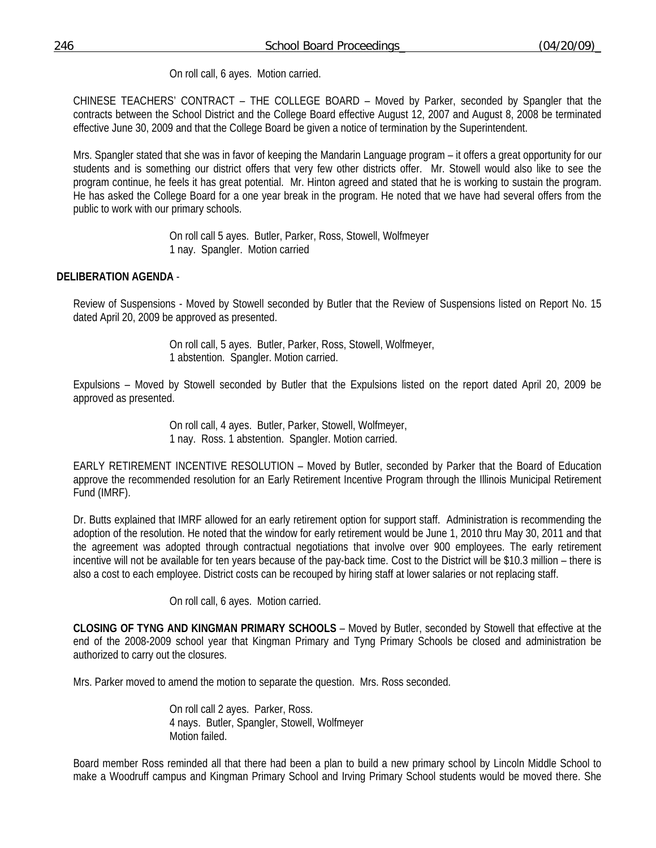On roll call, 6 ayes. Motion carried.

CHINESE TEACHERS' CONTRACT – THE COLLEGE BOARD – Moved by Parker, seconded by Spangler that the contracts between the School District and the College Board effective August 12, 2007 and August 8, 2008 be terminated effective June 30, 2009 and that the College Board be given a notice of termination by the Superintendent.

Mrs. Spangler stated that she was in favor of keeping the Mandarin Language program – it offers a great opportunity for our students and is something our district offers that very few other districts offer. Mr. Stowell would also like to see the program continue, he feels it has great potential. Mr. Hinton agreed and stated that he is working to sustain the program. He has asked the College Board for a one year break in the program. He noted that we have had several offers from the public to work with our primary schools.

> On roll call 5 ayes. Butler, Parker, Ross, Stowell, Wolfmeyer 1 nay. Spangler. Motion carried

# **DELIBERATION AGENDA** -

Review of Suspensions - Moved by Stowell seconded by Butler that the Review of Suspensions listed on Report No. 15 dated April 20, 2009 be approved as presented.

> On roll call, 5 ayes. Butler, Parker, Ross, Stowell, Wolfmeyer, 1 abstention. Spangler. Motion carried.

Expulsions – Moved by Stowell seconded by Butler that the Expulsions listed on the report dated April 20, 2009 be approved as presented.

> On roll call, 4 ayes. Butler, Parker, Stowell, Wolfmeyer, 1 nay. Ross. 1 abstention. Spangler. Motion carried.

EARLY RETIREMENT INCENTIVE RESOLUTION – Moved by Butler, seconded by Parker that the Board of Education approve the recommended resolution for an Early Retirement Incentive Program through the Illinois Municipal Retirement Fund (IMRF).

Dr. Butts explained that IMRF allowed for an early retirement option for support staff. Administration is recommending the adoption of the resolution. He noted that the window for early retirement would be June 1, 2010 thru May 30, 2011 and that the agreement was adopted through contractual negotiations that involve over 900 employees. The early retirement incentive will not be available for ten years because of the pay-back time. Cost to the District will be \$10.3 million – there is also a cost to each employee. District costs can be recouped by hiring staff at lower salaries or not replacing staff.

On roll call, 6 ayes. Motion carried.

**CLOSING OF TYNG AND KINGMAN PRIMARY SCHOOLS** – Moved by Butler, seconded by Stowell that effective at the end of the 2008-2009 school year that Kingman Primary and Tyng Primary Schools be closed and administration be authorized to carry out the closures.

Mrs. Parker moved to amend the motion to separate the question. Mrs. Ross seconded.

 On roll call 2 ayes. Parker, Ross. 4 nays. Butler, Spangler, Stowell, Wolfmeyer Motion failed.

Board member Ross reminded all that there had been a plan to build a new primary school by Lincoln Middle School to make a Woodruff campus and Kingman Primary School and Irving Primary School students would be moved there. She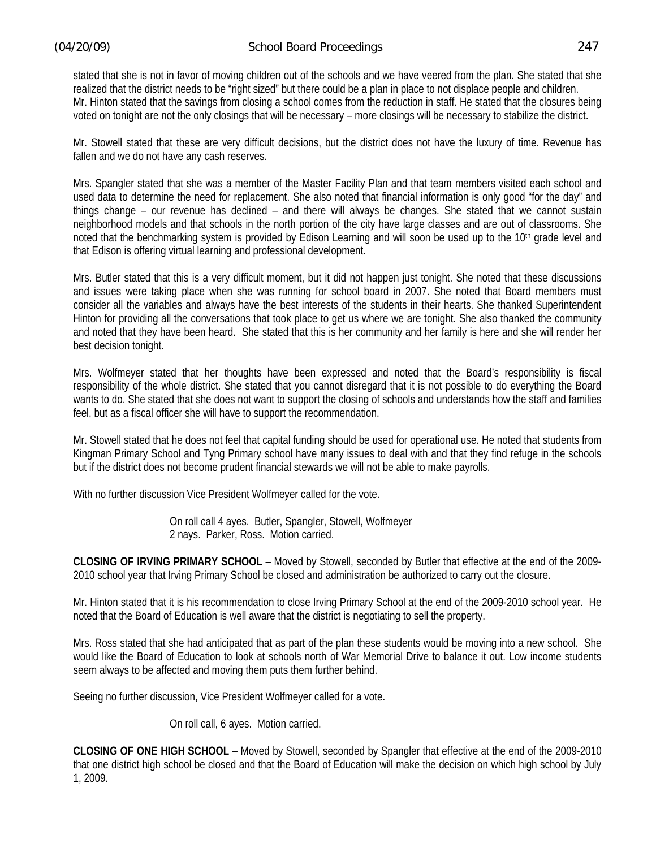stated that she is not in favor of moving children out of the schools and we have veered from the plan. She stated that she realized that the district needs to be "right sized" but there could be a plan in place to not displace people and children. Mr. Hinton stated that the savings from closing a school comes from the reduction in staff. He stated that the closures being voted on tonight are not the only closings that will be necessary – more closings will be necessary to stabilize the district.

Mr. Stowell stated that these are very difficult decisions, but the district does not have the luxury of time. Revenue has fallen and we do not have any cash reserves.

Mrs. Spangler stated that she was a member of the Master Facility Plan and that team members visited each school and used data to determine the need for replacement. She also noted that financial information is only good "for the day" and things change – our revenue has declined – and there will always be changes. She stated that we cannot sustain neighborhood models and that schools in the north portion of the city have large classes and are out of classrooms. She noted that the benchmarking system is provided by Edison Learning and will soon be used up to the 10<sup>th</sup> grade level and that Edison is offering virtual learning and professional development.

Mrs. Butler stated that this is a very difficult moment, but it did not happen just tonight. She noted that these discussions and issues were taking place when she was running for school board in 2007. She noted that Board members must consider all the variables and always have the best interests of the students in their hearts. She thanked Superintendent Hinton for providing all the conversations that took place to get us where we are tonight. She also thanked the community and noted that they have been heard. She stated that this is her community and her family is here and she will render her best decision tonight.

Mrs. Wolfmeyer stated that her thoughts have been expressed and noted that the Board's responsibility is fiscal responsibility of the whole district. She stated that you cannot disregard that it is not possible to do everything the Board wants to do. She stated that she does not want to support the closing of schools and understands how the staff and families feel, but as a fiscal officer she will have to support the recommendation.

Mr. Stowell stated that he does not feel that capital funding should be used for operational use. He noted that students from Kingman Primary School and Tyng Primary school have many issues to deal with and that they find refuge in the schools but if the district does not become prudent financial stewards we will not be able to make payrolls.

With no further discussion Vice President Wolfmeyer called for the vote.

 On roll call 4 ayes. Butler, Spangler, Stowell, Wolfmeyer 2 nays. Parker, Ross. Motion carried.

**CLOSING OF IRVING PRIMARY SCHOOL** – Moved by Stowell, seconded by Butler that effective at the end of the 2009- 2010 school year that Irving Primary School be closed and administration be authorized to carry out the closure.

Mr. Hinton stated that it is his recommendation to close Irving Primary School at the end of the 2009-2010 school year. He noted that the Board of Education is well aware that the district is negotiating to sell the property.

Mrs. Ross stated that she had anticipated that as part of the plan these students would be moving into a new school. She would like the Board of Education to look at schools north of War Memorial Drive to balance it out. Low income students seem always to be affected and moving them puts them further behind.

Seeing no further discussion, Vice President Wolfmeyer called for a vote.

On roll call, 6 ayes. Motion carried.

**CLOSING OF ONE HIGH SCHOOL** – Moved by Stowell, seconded by Spangler that effective at the end of the 2009-2010 that one district high school be closed and that the Board of Education will make the decision on which high school by July 1, 2009.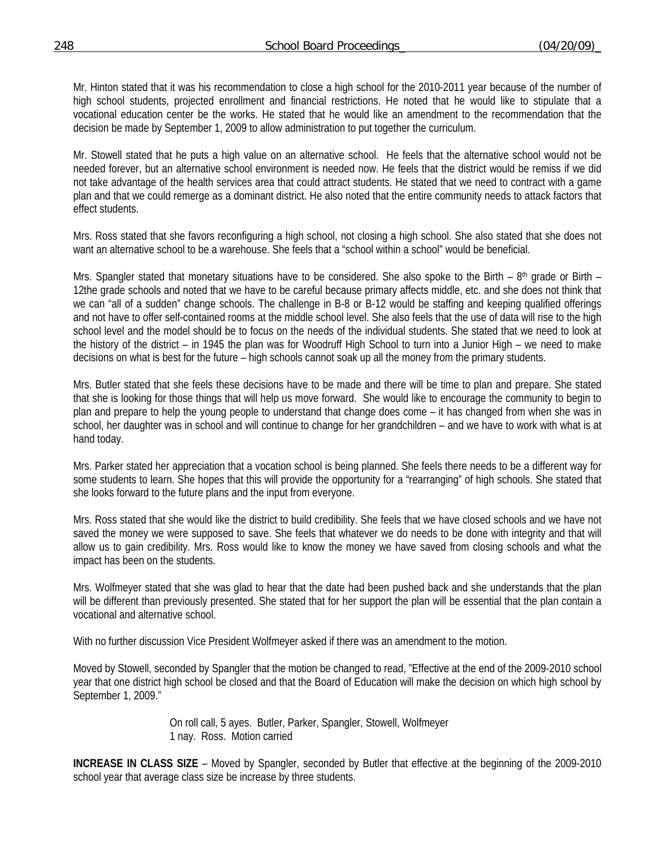Mr. Hinton stated that it was his recommendation to close a high school for the 2010-2011 year because of the number of high school students, projected enrollment and financial restrictions. He noted that he would like to stipulate that a vocational education center be the works. He stated that he would like an amendment to the recommendation that the decision be made by September 1, 2009 to allow administration to put together the curriculum.

Mr. Stowell stated that he puts a high value on an alternative school. He feels that the alternative school would not be needed forever, but an alternative school environment is needed now. He feels that the district would be remiss if we did not take advantage of the health services area that could attract students. He stated that we need to contract with a game plan and that we could remerge as a dominant district. He also noted that the entire community needs to attack factors that effect students.

Mrs. Ross stated that she favors reconfiguring a high school, not closing a high school. She also stated that she does not want an alternative school to be a warehouse. She feels that a "school within a school" would be beneficial.

Mrs. Spangler stated that monetary situations have to be considered. She also spoke to the Birth – 8<sup>th</sup> grade or Birth – 12the grade schools and noted that we have to be careful because primary affects middle, etc. and she does not think that we can "all of a sudden" change schools. The challenge in B-8 or B-12 would be staffing and keeping qualified offerings and not have to offer self-contained rooms at the middle school level. She also feels that the use of data will rise to the high school level and the model should be to focus on the needs of the individual students. She stated that we need to look at the history of the district – in 1945 the plan was for Woodruff High School to turn into a Junior High – we need to make decisions on what is best for the future – high schools cannot soak up all the money from the primary students.

Mrs. Butler stated that she feels these decisions have to be made and there will be time to plan and prepare. She stated that she is looking for those things that will help us move forward. She would like to encourage the community to begin to plan and prepare to help the young people to understand that change does come – it has changed from when she was in school, her daughter was in school and will continue to change for her grandchildren – and we have to work with what is at hand today.

Mrs. Parker stated her appreciation that a vocation school is being planned. She feels there needs to be a different way for some students to learn. She hopes that this will provide the opportunity for a "rearranging" of high schools. She stated that she looks forward to the future plans and the input from everyone.

Mrs. Ross stated that she would like the district to build credibility. She feels that we have closed schools and we have not saved the money we were supposed to save. She feels that whatever we do needs to be done with integrity and that will allow us to gain credibility. Mrs. Ross would like to know the money we have saved from closing schools and what the impact has been on the students.

Mrs. Wolfmeyer stated that she was glad to hear that the date had been pushed back and she understands that the plan will be different than previously presented. She stated that for her support the plan will be essential that the plan contain a vocational and alternative school.

With no further discussion Vice President Wolfmeyer asked if there was an amendment to the motion.

Moved by Stowell, seconded by Spangler that the motion be changed to read, "Effective at the end of the 2009-2010 school year that one district high school be closed and that the Board of Education will make the decision on which high school by September 1, 2009."

> On roll call, 5 ayes. Butler, Parker, Spangler, Stowell, Wolfmeyer 1 nay. Ross. Motion carried

**INCREASE IN CLASS SIZE** – Moved by Spangler, seconded by Butler that effective at the beginning of the 2009-2010 school year that average class size be increase by three students.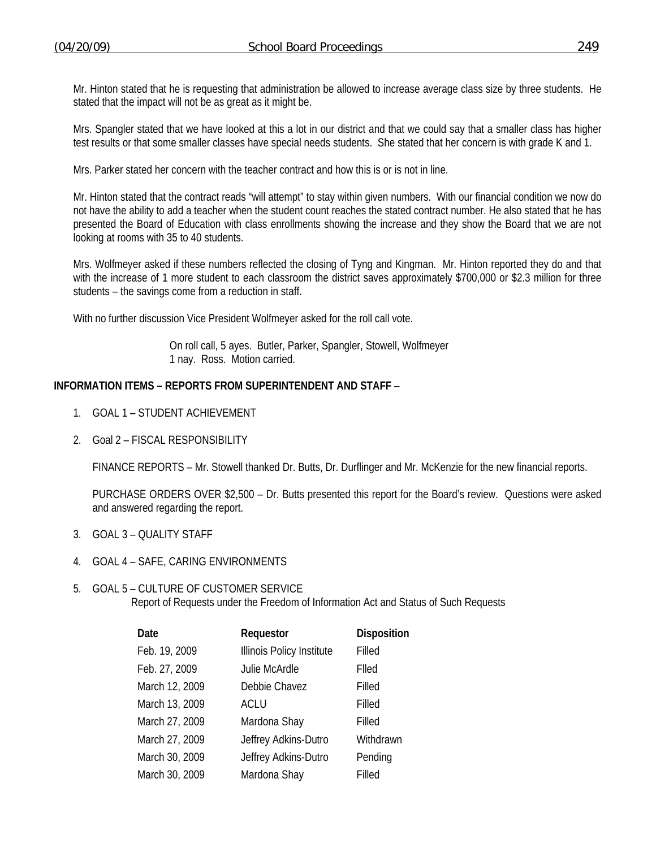Mr. Hinton stated that he is requesting that administration be allowed to increase average class size by three students. He stated that the impact will not be as great as it might be.

Mrs. Spangler stated that we have looked at this a lot in our district and that we could say that a smaller class has higher test results or that some smaller classes have special needs students. She stated that her concern is with grade K and 1.

Mrs. Parker stated her concern with the teacher contract and how this is or is not in line.

Mr. Hinton stated that the contract reads "will attempt" to stay within given numbers. With our financial condition we now do not have the ability to add a teacher when the student count reaches the stated contract number. He also stated that he has presented the Board of Education with class enrollments showing the increase and they show the Board that we are not looking at rooms with 35 to 40 students.

Mrs. Wolfmeyer asked if these numbers reflected the closing of Tyng and Kingman. Mr. Hinton reported they do and that with the increase of 1 more student to each classroom the district saves approximately \$700,000 or \$2.3 million for three students – the savings come from a reduction in staff.

With no further discussion Vice President Wolfmeyer asked for the roll call vote.

 On roll call, 5 ayes. Butler, Parker, Spangler, Stowell, Wolfmeyer 1 nay. Ross. Motion carried.

# **INFORMATION ITEMS – REPORTS FROM SUPERINTENDENT AND STAFF** –

- 1. GOAL 1 STUDENT ACHIEVEMENT
- 2. Goal 2 FISCAL RESPONSIBILITY

FINANCE REPORTS – Mr. Stowell thanked Dr. Butts, Dr. Durflinger and Mr. McKenzie for the new financial reports.

 PURCHASE ORDERS OVER \$2,500 – Dr. Butts presented this report for the Board's review. Questions were asked and answered regarding the report.

- 3. GOAL 3 QUALITY STAFF
- 4. GOAL 4 SAFE, CARING ENVIRONMENTS

## 5. GOAL 5 – CULTURE OF CUSTOMER SERVICE Report of Requests under the Freedom of Information Act and Status of Such Requests

| Requestor                 | <b>Disposition</b> |
|---------------------------|--------------------|
| Illinois Policy Institute | Filled             |
| Julie McArdle             | Flled              |
| Debbie Chavez             | Filled             |
| ACLU                      | Filled             |
| Mardona Shay              | Filled             |
| Jeffrey Adkins-Dutro      | Withdrawn          |
| Jeffrey Adkins-Dutro      | Pending            |
| Mardona Shay              | Filled             |
|                           |                    |